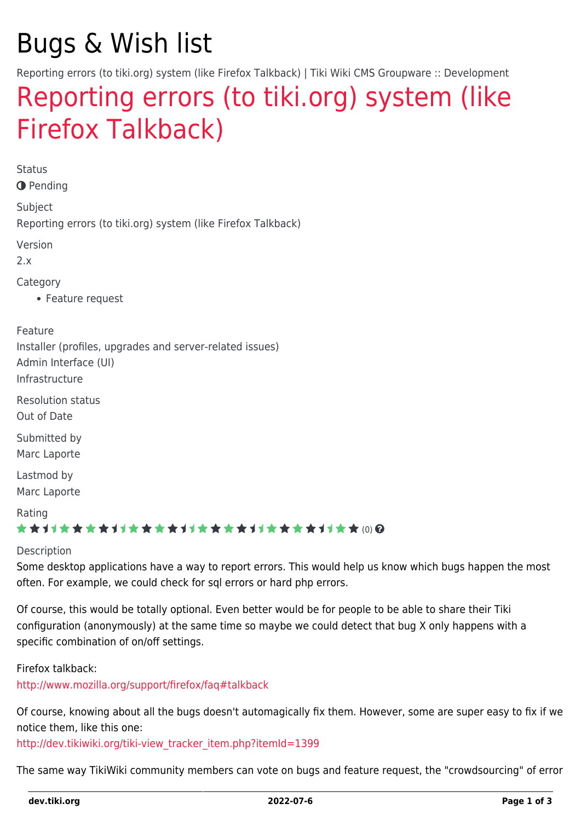# Bugs & Wish list

Reporting errors (to tiki.org) system (like Firefox Talkback) | Tiki Wiki CMS Groupware :: Development

## [Reporting errors \(to tiki.org\) system \(like](https://dev.tiki.org/item1416-Reporting-errors-to-tiki-org-system-like-Firefox-Talkback) [Firefox Talkback\)](https://dev.tiki.org/item1416-Reporting-errors-to-tiki-org-system-like-Firefox-Talkback)

**Status** 

**O** Pending

Subject

Reporting errors (to tiki.org) system (like Firefox Talkback)

Version

2.x

Category

Feature request

Feature

Installer (profiles, upgrades and server-related issues)

Admin Interface (UI)

Infrastructure

Resolution status Out of Date

Submitted by Marc Laporte

Lastmod by Marc Laporte

#### Rating

#### \*\*\*\*\*\*\*\*\*\*\*\*\*\*\*\*\*\*\*\*\*\*\*\*\*\*\*\*\*\*

#### Description

Some desktop applications have a way to report errors. This would help us know which bugs happen the most often. For example, we could check for sql errors or hard php errors.

Of course, this would be totally optional. Even better would be for people to be able to share their Tiki configuration (anonymously) at the same time so maybe we could detect that bug X only happens with a specific combination of on/off settings.

Firefox talkback:

<http://www.mozilla.org/support/firefox/faq#talkback>

Of course, knowing about all the bugs doesn't automagically fix them. However, some are super easy to fix if we notice them, like this one:

[http://dev.tikiwiki.org/tiki-view\\_tracker\\_item.php?itemId=1399](http://dev.tikiwiki.org/tiki-view_tracker_item.php?itemId=1399)

The same way TikiWiki community members can vote on bugs and feature request, the "crowdsourcing" of error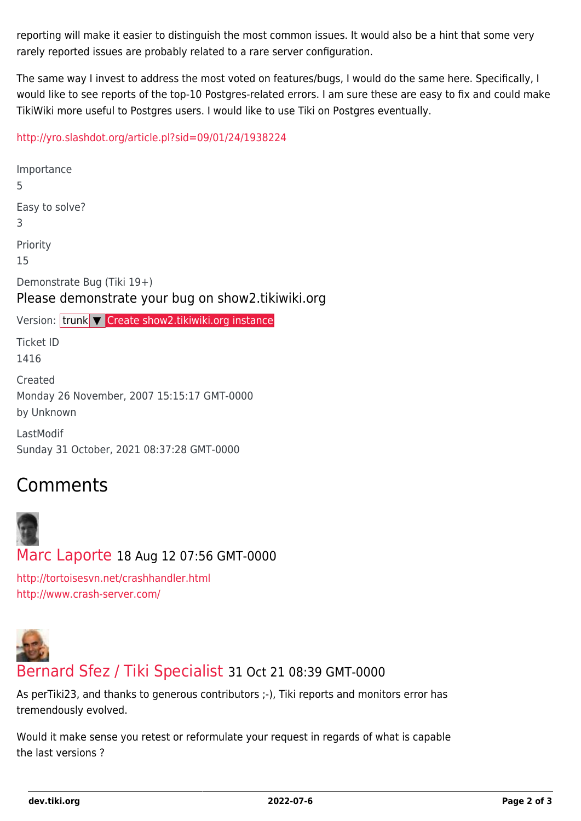reporting will make it easier to distinguish the most common issues. It would also be a hint that some very rarely reported issues are probably related to a rare server configuration.

The same way I invest to address the most voted on features/bugs, I would do the same here. Specifically, I would like to see reports of the top-10 Postgres-related errors. I am sure these are easy to fix and could make TikiWiki more useful to Postgres users. I would like to use Tiki on Postgres eventually.

#### <http://yro.slashdot.org/article.pl?sid=09/01/24/1938224>

Importance 5 Easy to solve? 3 Priority 15 Demonstrate Bug (Tiki 19+) Please demonstrate your bug on show2.tikiwiki.org Version: trunk ▼ [Create show2.tikiwiki.org instance](#page--1-0) Ticket ID 1416 Created Monday 26 November, 2007 15:15:17 GMT-0000 by Unknown LastModif

Sunday 31 October, 2021 08:37:28 GMT-0000

## Comments



[Marc Laporte](https://dev.tiki.org/user11197) 18 Aug 12 07:56 GMT-0000

<http://tortoisesvn.net/crashhandler.html> <http://www.crash-server.com/>



### [Bernard Sfez / Tiki Specialist](https://dev.tiki.org/user11581) 31 Oct 21 08:39 GMT-0000

As perTiki23, and thanks to generous contributors ;-), Tiki reports and monitors error has tremendously evolved.

Would it make sense you retest or reformulate your request in regards of what is capable the last versions ?